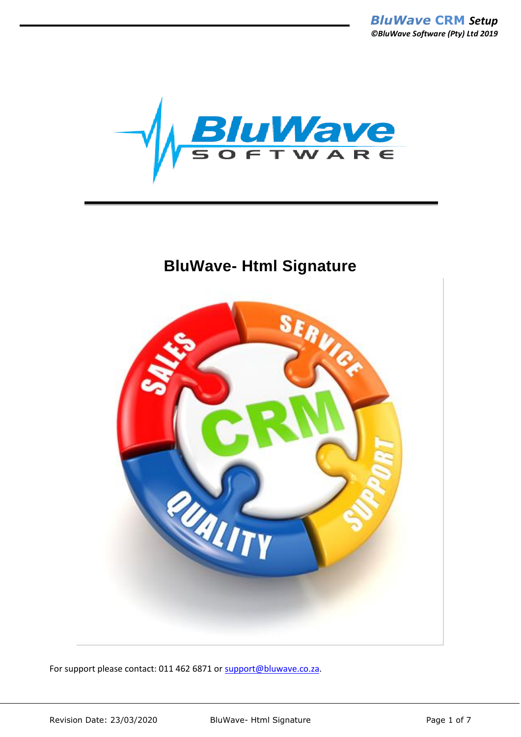

## **BluWave- Html Signature**



For support please contact: 011 462 6871 or [support@bluwave.co.za.](mailto:support@bluwave.co.za)

Revision Date: 23/03/2020 BluWave- Html Signature Page 1 of 7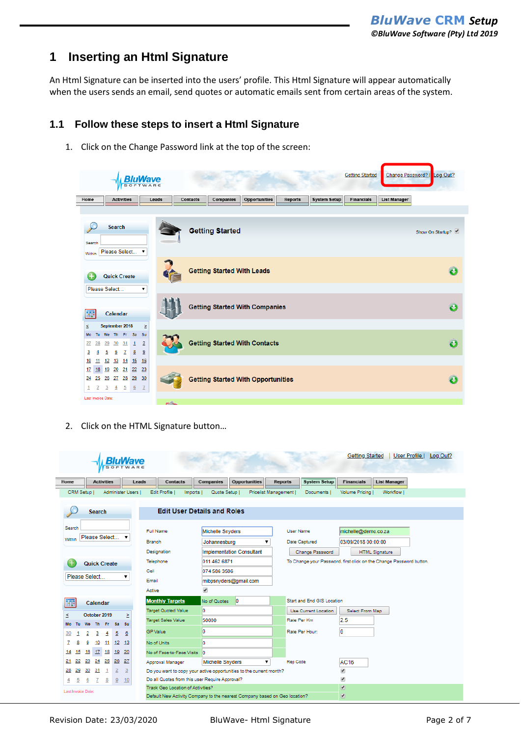## **1 Inserting an Html Signature**

An Html Signature can be inserted into the users' profile. This Html Signature will appear automatically when the users sends an email, send quotes or automatic emails sent from certain areas of the system.

## **1.1 Follow these steps to insert a Html Signature**

1. Click on the Change Password link at the top of the screen:



2. Click on the HTML Signature button…

|                     |                           |                | <b>BluWave</b><br>SOFTWARE |                                                                     |                                                                            |                                  |                |                  |                            | Getting Started          | User Profile                                                        |  |  |
|---------------------|---------------------------|----------------|----------------------------|---------------------------------------------------------------------|----------------------------------------------------------------------------|----------------------------------|----------------|------------------|----------------------------|--------------------------|---------------------------------------------------------------------|--|--|
| Home                | <b>Activities</b>         |                | Leads                      | <b>Contacts</b>                                                     | Companies                                                                  | <b>Opportunities</b>             | <b>Reports</b> |                  | <b>System Setup</b>        | <b>Financials</b>        | <b>List Manager</b>                                                 |  |  |
| CRM Setup I         |                           |                | Administer Users I         | Edit Profile I<br>Imports I                                         | Quote Setup I                                                              | Pricelist Management             |                |                  | Documents I                | Volume Pricina I         | Workflow I                                                          |  |  |
|                     | Search                    |                |                            | <b>Edit User Details and Roles</b>                                  |                                                                            |                                  |                |                  |                            |                          |                                                                     |  |  |
| Search              |                           |                |                            | <b>Full Name</b>                                                    | <b>Michelle Snyders</b>                                                    |                                  |                | <b>User Name</b> |                            |                          | michelle@demo.co.za                                                 |  |  |
| <b>Within</b>       | Please Select             |                |                            | Branch                                                              | Johannesburg                                                               |                                  |                | Date Captured    |                            | 03/09/2018 00:00:00      |                                                                     |  |  |
|                     |                           |                |                            | Designation                                                         |                                                                            | <b>Implementation Consultant</b> |                |                  | Change Password            |                          | <b>HTML Signature</b>                                               |  |  |
|                     | <b>Quick Create</b>       |                |                            | Telephone                                                           |                                                                            | 011 462 6871<br>074 586 3506     |                |                  |                            |                          | To Change your Password, first click on the Change Password button. |  |  |
|                     |                           |                |                            | Cell                                                                |                                                                            |                                  |                |                  |                            |                          |                                                                     |  |  |
|                     | Please Select             |                |                            | Email                                                               |                                                                            | mibpsnyders@gmail.com            |                |                  |                            |                          |                                                                     |  |  |
|                     |                           |                |                            | Active                                                              | ✔                                                                          |                                  |                |                  |                            |                          |                                                                     |  |  |
| ш                   | Calendar                  |                |                            | <b>Monthly Targets</b>                                              | No of Quotes                                                               | ١o                               |                |                  | Start and End GIS Location |                          |                                                                     |  |  |
| $\leq$              | October 2019              |                |                            | <b>Target Quoted Value</b>                                          | 0                                                                          |                                  |                |                  | Use Current Location       | Select From Map          |                                                                     |  |  |
| Mo<br>Tu            | The Friends<br><b>We</b>  | -Su            | Σ                          | <b>Target Sales Value</b>                                           | 50000                                                                      |                                  |                | Rate Per Km      |                            | 2.5                      |                                                                     |  |  |
| 30                  | 2<br>3<br>4               | 5              | 6                          | <b>GP Value</b>                                                     | 0                                                                          |                                  |                | Rate Per Hour:   |                            | 0                        |                                                                     |  |  |
| 7<br>8              | 10<br>11<br>9             | 12<br>13       |                            | No of Units                                                         | 0                                                                          |                                  |                |                  |                            |                          |                                                                     |  |  |
| 14<br>15            | 17<br>18<br>16            | 19<br>20       |                            | No of Face-to-Face Visits 0                                         |                                                                            |                                  |                |                  |                            |                          |                                                                     |  |  |
| 21<br>22            | 25<br>23<br>24            | $_{26}$<br>-27 |                            | Approval Manager                                                    | <b>Michelle Snyders</b>                                                    | ۷.                               |                | Rep Code         |                            | AC16                     |                                                                     |  |  |
| 28<br>29            | 30<br>31<br>$\mathbf{1}$  | $\overline{2}$ | $\overline{3}$             | Do you want to copy your active opportunities to the current month? |                                                                            |                                  |                |                  |                            | ✔                        |                                                                     |  |  |
| 5<br>$\overline{4}$ | 6<br>$\underline{8}$<br>7 | $\overline{8}$ | 10                         | Do all Quotes from this user Require Approval?                      |                                                                            |                                  |                |                  |                            | ✔                        |                                                                     |  |  |
| Last Invoice Date:  |                           |                |                            | Track Geo Location of Activities?                                   | Default New Activity Company to the nearest Company based on Geo location? |                                  |                |                  |                            | $\overline{\mathcal{C}}$ |                                                                     |  |  |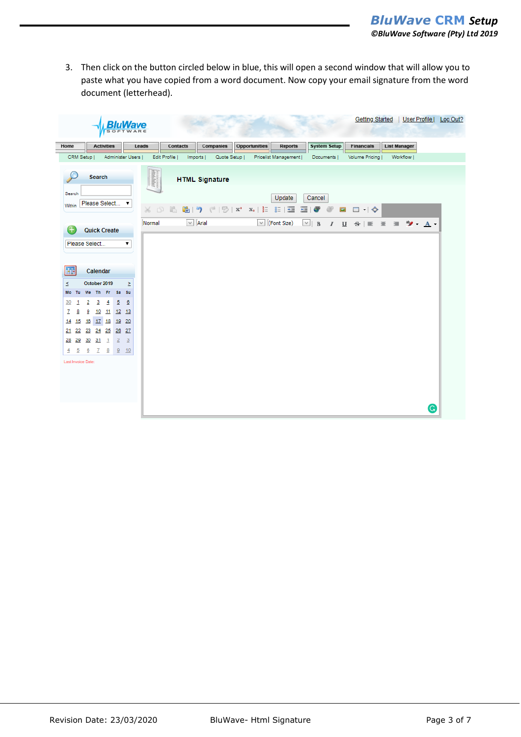3. Then click on the button circled below in blue, this will open a second window that will allow you to paste what you have copied from a word document. Now copy your email signature from the word document (letterhead).

|                  |                    |                                 |                   | в<br>SOF |                  |        |              |                 |                       |                                                                                                               |                      |                              |   |             |                     |              |                       |  |                     |                                                                                   | Getting Started   User Profile   Log Out? |
|------------------|--------------------|---------------------------------|-------------------|----------|------------------|--------|--------------|-----------------|-----------------------|---------------------------------------------------------------------------------------------------------------|----------------------|------------------------------|---|-------------|---------------------|--------------|-----------------------|--|---------------------|-----------------------------------------------------------------------------------|-------------------------------------------|
| Home             |                    |                                 | <b>Activities</b> |          |                  | Leads  |              | <b>Contacts</b> | Companies             |                                                                                                               | <b>Opportunities</b> | <b>Reports</b>               |   |             | <b>System Setup</b> |              | <b>Financials</b>     |  | <b>List Manager</b> |                                                                                   |                                           |
|                  | CRM Setup          |                                 |                   |          | Administer Users |        | Edit Profile |                 | Imports               | Quote Setup                                                                                                   |                      | Pricelist Management         |   | Documents   |                     |              | <b>Volume Pricing</b> |  | Workflow            |                                                                                   |                                           |
|                  |                    | Search                          |                   |          |                  |        | indulation   |                 | <b>HTML Signature</b> |                                                                                                               |                      |                              |   |             |                     |              |                       |  |                     |                                                                                   |                                           |
| Search<br>Within |                    | Please Select                   |                   |          | 7                |        |              |                 |                       | $\mathbb{X}$ 0 6 $\mathbb{B}$ $\mathbb{R}$ ( $\mathbb{P}$ ( $\mathbb{P}$ ) x $\mathbb{X}$ , $\mathbb{E}$ se ( |                      | Update<br>埀                  | 量 | Cancel<br>G | æ                   | <b>EE-10</b> |                       |  |                     |                                                                                   |                                           |
|                  |                    | <b>Quick Create</b>             |                   |          |                  | Normal |              |                 | $\vee$ Arial          |                                                                                                               |                      | $\boxed{\smile}$ (Font Size) |   |             |                     |              |                       |  |                     | $\vee$ B $I$ U $S$ $\equiv$ $\equiv$ $\equiv$ $\frac{3}{2}$ $\cdot$ $\frac{A}{A}$ |                                           |
|                  |                    | Please Select                   |                   |          | ۷.               |        |              |                 |                       |                                                                                                               |                      |                              |   |             |                     |              |                       |  |                     |                                                                                   |                                           |
| ш                |                    | Calendar                        |                   |          |                  |        |              |                 |                       |                                                                                                               |                      |                              |   |             |                     |              |                       |  |                     |                                                                                   |                                           |
| š.<br>Mo         | Tu.                | October 2019<br>We The Frida Su |                   |          | Σ                |        |              |                 |                       |                                                                                                               |                      |                              |   |             |                     |              |                       |  |                     |                                                                                   |                                           |
| $\overline{30}$  | 1                  | 2<br>$\overline{\mathbf{3}}$    | $\overline{4}$    | 5        | $\overline{6}$   |        |              |                 |                       |                                                                                                               |                      |                              |   |             |                     |              |                       |  |                     |                                                                                   |                                           |
| z                | 8                  | 9                               | 10 11 12 13       |          |                  |        |              |                 |                       |                                                                                                               |                      |                              |   |             |                     |              |                       |  |                     |                                                                                   |                                           |
| 14               | 15                 | 16 17 18 19 20                  |                   |          |                  |        |              |                 |                       |                                                                                                               |                      |                              |   |             |                     |              |                       |  |                     |                                                                                   |                                           |
| 21               |                    | 22 23 24 25 26 27               |                   |          |                  |        |              |                 |                       |                                                                                                               |                      |                              |   |             |                     |              |                       |  |                     |                                                                                   |                                           |
|                  |                    | 28 29 30 31 1 2                 |                   |          | $\frac{3}{2}$    |        |              |                 |                       |                                                                                                               |                      |                              |   |             |                     |              |                       |  |                     |                                                                                   |                                           |
| $\overline{4}$   | $\overline{5}$     | $\underline{6}$ 7               |                   | $8 \t9$  | 10               |        |              |                 |                       |                                                                                                               |                      |                              |   |             |                     |              |                       |  |                     |                                                                                   |                                           |
|                  | Last Invoice Date: |                                 |                   |          |                  |        |              |                 |                       |                                                                                                               |                      |                              |   |             |                     |              |                       |  |                     |                                                                                   |                                           |
|                  |                    |                                 |                   |          |                  |        |              |                 |                       |                                                                                                               |                      |                              |   |             |                     |              |                       |  |                     | G                                                                                 |                                           |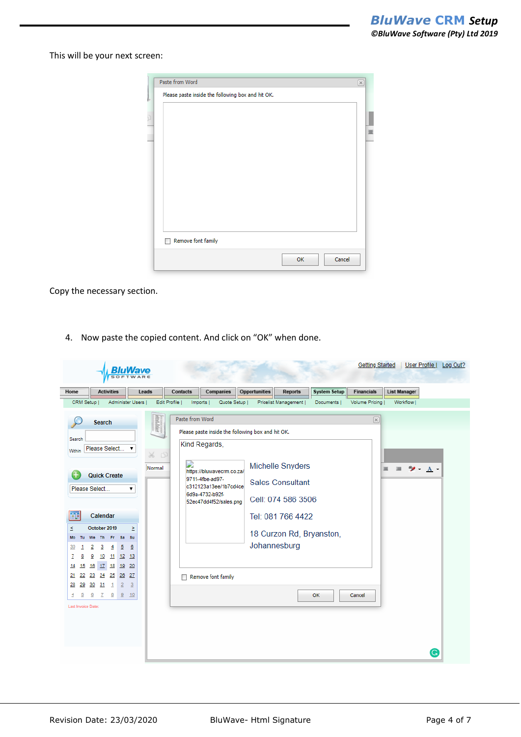This will be your next screen:

| Please paste inside the following box and hit OK. |    |        | $[\times]$ |
|---------------------------------------------------|----|--------|------------|
|                                                   |    |        |            |
|                                                   |    |        |            |
|                                                   |    |        |            |
|                                                   |    |        |            |
|                                                   |    |        |            |
|                                                   |    |        |            |
|                                                   |    |        |            |
|                                                   |    |        |            |
|                                                   |    |        |            |
|                                                   |    |        |            |
|                                                   |    |        |            |
|                                                   |    |        |            |
|                                                   |    |        |            |
| Remove font family                                |    |        |            |
|                                                   |    |        |            |
|                                                   | ΟК | Cancel |            |

Copy the necessary section.

4. Now paste the copied content. And click on "OK" when done.

| CRM Setup  <br>Administer Users  <br>Edit Profile  <br>Quote Setup  <br>Imports  <br>Paste from Word |                          |           |                |                                       |
|------------------------------------------------------------------------------------------------------|--------------------------|-----------|----------------|---------------------------------------|
|                                                                                                      | Pricelist Management     | Documents | Volume Pricing | Workflow                              |
|                                                                                                      |                          |           |                |                                       |
| <i>ettelalut</i><br><b>Search</b>                                                                    |                          |           | $[\infty]$     |                                       |
| Please paste inside the following box and hit OK.<br>Search                                          |                          |           |                |                                       |
| Kind Regards,<br>Please Select<br>7                                                                  |                          |           |                |                                       |
| Within<br>$\Box$<br>X.                                                                               |                          |           |                |                                       |
| D<br>Normal                                                                                          | Michelle Snyders         |           |                | $\frac{1}{2}$ $\frac{1}{2}$<br>亖<br>三 |
| https://bluwavecrm.co.za/<br><b>Quick Create</b><br>9711-4fbe-ad97-                                  |                          |           |                |                                       |
| c312123a13ee/1b7cd4ce<br>Please Select<br>▼                                                          | <b>Sales Consultant</b>  |           |                |                                       |
| 6d9a-4732-b92f-                                                                                      | Cell: 074 586 3506       |           |                |                                       |
| 52ec47dd4f52/sales.png                                                                               |                          |           |                |                                       |
| Calendar                                                                                             | Tel: 081 766 4422        |           |                |                                       |
| October 2019<br>Σ                                                                                    |                          |           |                |                                       |
| <b>Fr</b><br><b>Sa</b><br>Su<br>We<br>Th<br>Tu                                                       | 18 Curzon Rd, Bryanston, |           |                |                                       |
| $\overline{6}$<br>2<br>3<br>5<br>4<br>1                                                              | Johannesburg             |           |                |                                       |
| 9<br>10<br>11<br>12<br>13<br>8                                                                       |                          |           |                |                                       |
| 16 17 18 19 20<br>15                                                                                 |                          |           |                |                                       |
| 23 24 25 26<br>27<br>22<br>Remove font family                                                        |                          |           |                |                                       |
| $30^{31}$<br>$\overline{2}$<br>$\overline{3}$<br>29<br>$\mathbf{1}$                                  |                          |           |                |                                       |
| 6<br>$\overline{\mathbf{8}}$<br>$\frac{9}{2}$<br>10<br>$\overline{5}$<br>7                           |                          | OK        | Cancel         |                                       |
| Last Invoice Date:                                                                                   |                          |           |                |                                       |
|                                                                                                      |                          |           |                |                                       |
|                                                                                                      |                          |           |                |                                       |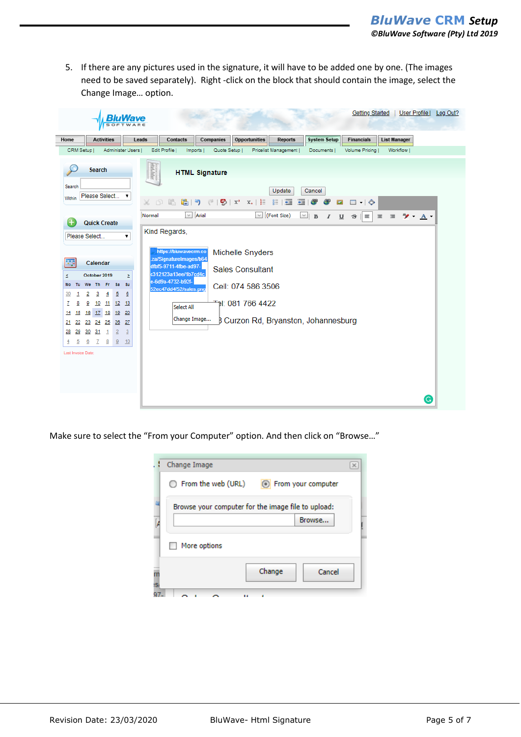5. If there are any pictures used in the signature, it will have to be added one by one. (The images need to be saved separately). Right -click on the block that should contain the image, select the Change Image… option.

|                                                                                                                     |                                                                                                               |                                                     |                                                                                             |       |                        |                                                                                                                                                                |                       |                                                                                                                                                                                                                                                                                                    |                           |                                    | <b>Getting Started</b>                                     |                      | User Profile   Log Out?     |  |
|---------------------------------------------------------------------------------------------------------------------|---------------------------------------------------------------------------------------------------------------|-----------------------------------------------------|---------------------------------------------------------------------------------------------|-------|------------------------|----------------------------------------------------------------------------------------------------------------------------------------------------------------|-----------------------|----------------------------------------------------------------------------------------------------------------------------------------------------------------------------------------------------------------------------------------------------------------------------------------------------|---------------------------|------------------------------------|------------------------------------------------------------|----------------------|-----------------------------|--|
| Home                                                                                                                |                                                                                                               | <b>Activities</b>                                   |                                                                                             | Leads |                        | <b>Contacts</b>                                                                                                                                                | Companies             | <b>Opportunities</b>                                                                                                                                                                                                                                                                               | <b>Reports</b>            | <b>System Setup</b>                | <b>Financials</b>                                          | <b>List Manager</b>  |                             |  |
| CRM Setup                                                                                                           |                                                                                                               |                                                     | Administer Users                                                                            |       | Edit Profile           |                                                                                                                                                                | Imports               | Quote Setup                                                                                                                                                                                                                                                                                        | Pricelist Management      | Documents                          | <b>Volume Pricing</b>                                      | Workflow             |                             |  |
|                                                                                                                     | <b>Search</b>                                                                                                 |                                                     |                                                                                             |       | <i><b>REGISTER</b></i> |                                                                                                                                                                | <b>HTML Signature</b> |                                                                                                                                                                                                                                                                                                    |                           |                                    |                                                            |                      |                             |  |
| Search<br>Within                                                                                                    | Please Select                                                                                                 |                                                     | ▼                                                                                           |       | X<br>面                 | 昌                                                                                                                                                              |                       | $\left[\begin{array}{ccc} \bullet & \bullet \\ \bullet & \bullet \end{array}\right]$ ( $\left[\begin{array}{ccc} \bullet & \bullet \\ \bullet & \bullet \end{array}\right]$ is the set of $\left[\begin{array}{ccc} \bullet & \bullet & \bullet \\ \bullet & \bullet & \bullet \end{array}\right]$ | Update<br>$g =$<br>三<br>匪 | Cancel<br>G<br>æ<br>$\blacksquare$ | $\Box$ $\rightarrow$ $\odot$                               |                      |                             |  |
|                                                                                                                     | <b>Quick Create</b>                                                                                           |                                                     |                                                                                             |       | Normal                 |                                                                                                                                                                | $\vee$ Arial          |                                                                                                                                                                                                                                                                                                    | $\vee$ (Font Size)        | $\vee$ B<br>$\overline{I}$         | $\equiv$<br>$\underline{\mathsf{u}}$<br>$\frac{c}{\sigma}$ | $\equiv$<br>$\equiv$ | $\frac{1}{2}$ $\frac{1}{2}$ |  |
|                                                                                                                     | Please Select                                                                                                 |                                                     | ۷.                                                                                          |       |                        | Kind Regards,                                                                                                                                                  |                       |                                                                                                                                                                                                                                                                                                    |                           |                                    |                                                            |                      |                             |  |
| ≤<br>Mo<br>Tu<br>30<br>1<br>z<br>8<br>15<br>14<br>22<br>21<br>29<br>28<br>5<br>$\overline{4}$<br>Last Invoice Date: | Calendar<br>October 2019<br>We Th<br>2<br>3<br>₿<br>16<br>23 24 25 26 27<br>$30^{o}31$<br>$\overline{6}$<br>7 | Fr Sa<br>$\overline{4}$<br>$\mathbf{1}$<br>$8 \t 9$ | Σ<br>- Su<br>5<br>₫<br>10 11 12 13<br>17 18 19 20<br>$\overline{2}$<br>$\overline{3}$<br>10 |       |                        | https://bluwavecrm.co<br>.za/SignatureImages/b64<br>dfbf5-9711-4fbe-ad97-<br>c312123a13ee/1b7cd4c<br>e-6d9a-4732-b92f-<br>52ec47dd4f52/sales.png<br>Select All | Change Image          | Michelle Snyders<br><b>Sales Consultant</b><br>Cell: 074 586 3506<br><sup>-≖</sup> ): 081 766 4422<br><b>B Curzon Rd, Bryanston, Johannesburg</b>                                                                                                                                                  |                           |                                    |                                                            |                      |                             |  |
|                                                                                                                     |                                                                                                               |                                                     |                                                                                             |       |                        |                                                                                                                                                                |                       |                                                                                                                                                                                                                                                                                                    |                           |                                    |                                                            |                      | G                           |  |

Make sure to select the "From your Computer" option. And then click on "Browse…"

|     | Change Image                                        |        |  |  |  |  |  |  |  |  |  |
|-----|-----------------------------------------------------|--------|--|--|--|--|--|--|--|--|--|
|     | $\bigcirc$ From the web (URL)<br>From your computer |        |  |  |  |  |  |  |  |  |  |
|     | Browse your computer for the image file to upload:  |        |  |  |  |  |  |  |  |  |  |
|     |                                                     | Browse |  |  |  |  |  |  |  |  |  |
|     | More options                                        |        |  |  |  |  |  |  |  |  |  |
|     | Change                                              | Cancel |  |  |  |  |  |  |  |  |  |
| IS. |                                                     |        |  |  |  |  |  |  |  |  |  |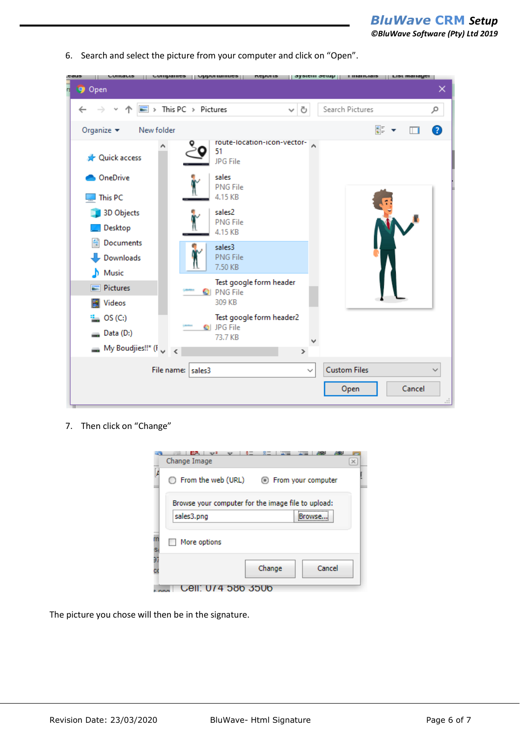*BluWave* **CRM** *Setup ©BluWave Software (Pty) Ltd 2019*

| nnans<br><b><i><u>Combanica</u></i></b><br>ems | $\vert$ / $\vert$ / $\vert$ / $\vert$ / $\vert$ / $\vert$ / $\vert$ / $\vert$ / $\vert$ / $\vert$ / $\vert$ / $\vert$ / $\vert$ / $\vert$ / $\vert$ / $\vert$ / $\vert$ / $\vert$ / $\vert$ / $\vert$ / $\vert$ / $\vert$ / $\vert$ / $\vert$ / $\vert$ / $\vert$ / $\vert$ / $\vert$ / $\vert$ / $\vert$ / $\vert$ / $\vert$<br><b>Lehnira</b><br>$  $ эхэгснн эсгир $  $ | <b>I Illaliniale</b><br>гізг шанаЛеі |
|------------------------------------------------|----------------------------------------------------------------------------------------------------------------------------------------------------------------------------------------------------------------------------------------------------------------------------------------------------------------------------------------------------------------------------|--------------------------------------|
| n.<br><b>9</b> Open                            |                                                                                                                                                                                                                                                                                                                                                                            | ×                                    |
| $\uparrow \Box$ > This PC > Pictures           | Ō<br>$\checkmark$                                                                                                                                                                                                                                                                                                                                                          | Search Pictures<br>مر                |
| Organize $\blacktriangleright$<br>New folder   |                                                                                                                                                                                                                                                                                                                                                                            | 턃<br>Q                               |
| <b>A</b> Quick access                          | route-location-icon-vector-<br>51<br>JPG File                                                                                                                                                                                                                                                                                                                              |                                      |
| OneDrive<br>This PC                            | sales<br><b>PNG File</b><br>4.15 KB                                                                                                                                                                                                                                                                                                                                        |                                      |
| 3D Objects<br>Desktop                          | sales2<br><b>PNG File</b><br>4.15 KB                                                                                                                                                                                                                                                                                                                                       |                                      |
| е<br>Documents<br>Downloads<br>Music           | sales3<br><b>PNG File</b><br>7.50 KB                                                                                                                                                                                                                                                                                                                                       |                                      |
| Pictures<br><b>图</b> Videos                    | Test google form header<br>CI PNG File<br>309 KB                                                                                                                                                                                                                                                                                                                           |                                      |
| $\frac{d}{dx}$ OS (C:)<br>Data (D:)            | Test google form header2<br>@  JPG File<br>73.7 KB                                                                                                                                                                                                                                                                                                                         |                                      |
| $\blacksquare$ My Boudjies!!* (F <sub>y</sub>  | $\rightarrow$                                                                                                                                                                                                                                                                                                                                                              |                                      |
|                                                | File name: sales3<br>$\checkmark$                                                                                                                                                                                                                                                                                                                                          | <b>Custom Files</b>                  |
|                                                |                                                                                                                                                                                                                                                                                                                                                                            | Cancel<br>Open<br>ai.                |

6. Search and select the picture from your computer and click on "Open".

7. Then click on "Change"

|          | Change Image                                                     | $\times$ |
|----------|------------------------------------------------------------------|----------|
| A        | From the web (URL)<br><b>Example From your computer</b>          |          |
|          | Browse your computer for the image file to upload:<br>sales3.png |          |
| m<br>s,  | More options                                                     |          |
| 97<br>сı | Cancel<br>Change                                                 |          |
|          | ാറ്റ<br>ാാശ                                                      |          |

The picture you chose will then be in the signature.